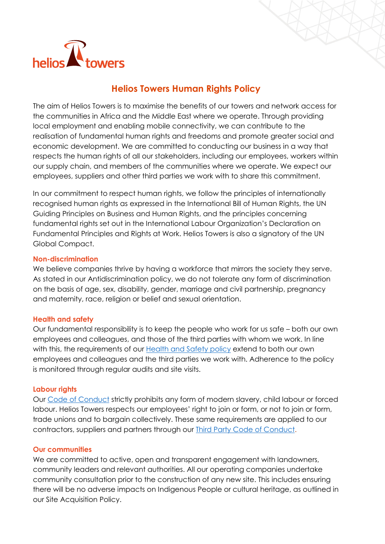

# **Helios Towers Human Rights Policy**

The aim of Helios Towers is to maximise the benefits of our towers and network access for the communities in Africa and the Middle East where we operate. Through providing local employment and enabling mobile connectivity, we can contribute to the realisation of fundamental human rights and freedoms and promote greater social and economic development. We are committed to conducting our business in a way that respects the human rights of all our stakeholders, including our employees, workers within our supply chain, and members of the communities where we operate. We expect our employees, suppliers and other third parties we work with to share this commitment.

In our commitment to respect human rights, we follow the principles of internationally recognised human rights as expressed in the International Bill of Human Rights, the UN Guiding Principles on Business and Human Rights, and the principles concerning fundamental rights set out in the International Labour Organization's Declaration on Fundamental Principles and Rights at Work. Helios Towers is also a signatory of the UN Global Compact.

### **Non-discrimination**

We believe companies thrive by having a workforce that mirrors the society they serve. As stated in our Antidiscrimination policy, we do not tolerate any form of discrimination on the basis of age, sex, disability, gender, marriage and civil partnership, pregnancy and maternity, race, religion or belief and sexual orientation.

## **Health and safety**

Our fundamental responsibility is to keep the people who work for us safe – both our own employees and colleagues, and those of the third parties with whom we work. In line with this, the requirements of our [Health and Safety policy](https://www.heliostowers.com/about-us/our-values-and-approach/code-of-conduct-and-policies/) extend to both our own employees and colleagues and the third parties we work with. Adherence to the policy is monitored through regular audits and site visits.

#### **Labour rights**

Our [Code of Conduct](https://www.heliostowers.com/about-us/our-values-and-approach/code-of-conduct-and-policies/) strictly prohibits any form of modern slavery, child labour or forced labour. Helios Towers respects our employees' right to join or form, or not to join or form, trade unions and to bargain collectively. These same requirements are applied to our contractors, suppliers and partners through our [Third Party Code of Conduct.](https://www.heliostowers.com/about-us/our-values-and-approach/code-of-conduct-and-policies/)

#### **Our communities**

We are committed to active, open and transparent engagement with landowners, community leaders and relevant authorities. All our operating companies undertake community consultation prior to the construction of any new site. This includes ensuring there will be no adverse impacts on Indigenous People or cultural heritage, as outlined in our Site Acquisition Policy.